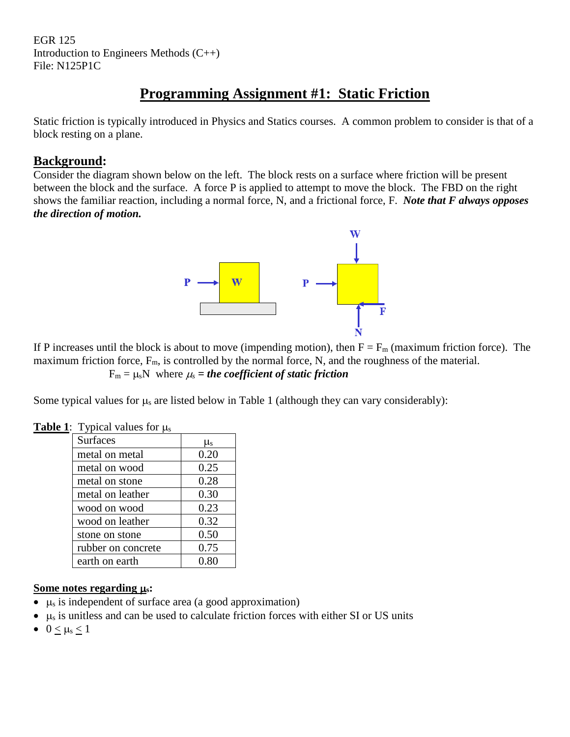EGR 125 Introduction to Engineers Methods (C++) File: N125P1C

# **Programming Assignment #1: Static Friction**

Static friction is typically introduced in Physics and Statics courses. A common problem to consider is that of a block resting on a plane.

## **Background:**

Consider the diagram shown below on the left. The block rests on a surface where friction will be present between the block and the surface. A force P is applied to attempt to move the block. The FBD on the right shows the familiar reaction, including a normal force, N, and a frictional force, F. *Note that F always opposes the direction of motion.*



If P increases until the block is about to move (impending motion), then  $F = F_m$  (maximum friction force). The maximum friction force,  $F_m$ , is controlled by the normal force, N, and the roughness of the material.  $F_m = \mu_s N$  where  $\mu_s =$  the coefficient of static friction

Some typical values for  $\mu_s$  are listed below in Table 1 (although they can vary considerably):

|  | <b>Table 1:</b> Typical values for $\mu_s$ |  |
|--|--------------------------------------------|--|
|--|--------------------------------------------|--|

| <b>Surfaces</b>    | $\mu_{\rm s}$ |
|--------------------|---------------|
| metal on metal     | 0.20          |
| metal on wood      | 0.25          |
| metal on stone     | 0.28          |
| metal on leather   | 0.30          |
| wood on wood       | 0.23          |
| wood on leather    | 0.32          |
| stone on stone     | 0.50          |
| rubber on concrete | 0.75          |
| earth on earth     | 0.80          |

#### **Some notes regarding s:**

- $\mu_s$  is independent of surface area (a good approximation)
- $\bullet$   $\mu_s$  is unitless and can be used to calculate friction forces with either SI or US units
- $0 \leq \mu_s \leq 1$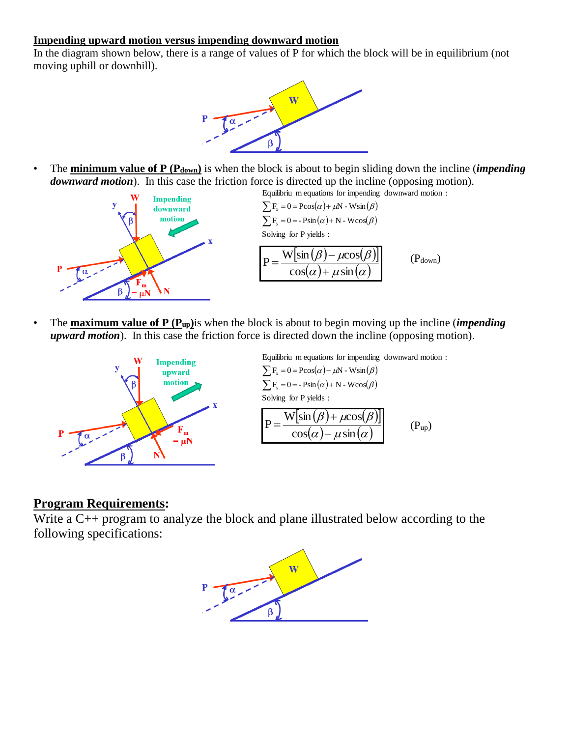#### **Impending upward motion versus impending downward motion**

In the diagram shown below, there is a range of values of P for which the block will be in equilibrium (not moving uphill or downhill).



• The **minimum value of P (Pdown)** is when the block is about to begin sliding down the incline (*impending downward motion*). In this case the friction force is directed up the incline (opposing motion).



• The **maximum value of P (Pup)**is when the block is about to begin moving up the incline (*impending upward motion*). In this case the friction force is directed down the incline (opposing motion).



Equilibriu <sup>m</sup> equations for impending downward motion :

$$
\sum F_x = 0 = \text{Pos}(\alpha) - \mu \text{N} - \text{Wsin}(\beta)
$$
  
\n
$$
\sum F_y = 0 = -\text{Psin}(\alpha) + \text{N} - \text{Wcos}(\beta)
$$
  
\nSolving for P yields :  
\n
$$
P = \frac{\text{W}[\sin(\beta) + \mu \cos(\beta)]}{\cos(\alpha) - \mu \sin(\alpha)}
$$
 (P<sub>up</sub>)

#### **Program Requirements:**

Write a C++ program to analyze the block and plane illustrated below according to the following specifications:

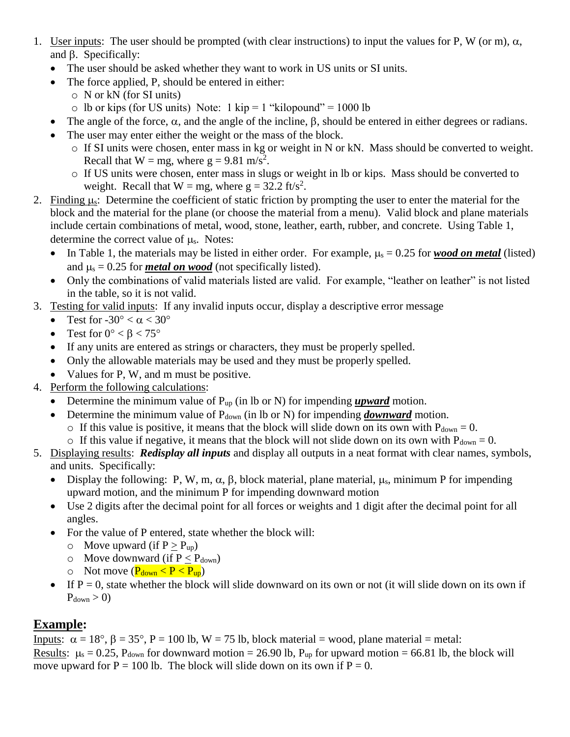- 1. User inputs: The user should be prompted (with clear instructions) to input the values for P, W (or m),  $\alpha$ , and  $\beta$ . Specifically:
	- The user should be asked whether they want to work in US units or SI units.
	- The force applied, P, should be entered in either:
		- o N or kN (for SI units)
		- $\circ$  lb or kips (for US units) Note: 1 kip = 1 "kilopound" = 1000 lb
	- The angle of the force,  $\alpha$ , and the angle of the incline,  $\beta$ , should be entered in either degrees or radians.
	- The user may enter either the weight or the mass of the block.
		- o If SI units were chosen, enter mass in kg or weight in N or kN. Mass should be converted to weight. Recall that  $W = mg$ , where  $g = 9.81$  m/s<sup>2</sup>.
		- o If US units were chosen, enter mass in slugs or weight in lb or kips. Mass should be converted to weight. Recall that  $W = mg$ , where  $g = 32.2$  ft/s<sup>2</sup>.
- 2. Finding  $\mu_s$ : Determine the coefficient of static friction by prompting the user to enter the material for the block and the material for the plane (or choose the material from a menu). Valid block and plane materials include certain combinations of metal, wood, stone, leather, earth, rubber, and concrete. Using Table 1, determine the correct value of  $\mu$ <sub>s</sub>. Notes:
	- In Table 1, the materials may be listed in either order. For example,  $\mu_s = 0.25$  for *wood on metal* (listed) and  $\mu_s = 0.25$  for *metal on wood* (not specifically listed).
	- Only the combinations of valid materials listed are valid. For example, "leather on leather" is not listed in the table, so it is not valid.
- 3. Testing for valid inputs: If any invalid inputs occur, display a descriptive error message
	- Test for  $-30^{\circ} < \alpha < 30^{\circ}$
	- Test for  $0^{\circ} < \beta < 75^{\circ}$
	- If any units are entered as strings or characters, they must be properly spelled.
	- Only the allowable materials may be used and they must be properly spelled.
	- Values for P, W, and m must be positive.
- 4. Perform the following calculations:
	- Determine the minimum value of P<sub>up</sub> (in lb or N) for impending *upward* motion.
	- Determine the minimum value of P<sub>down</sub> (in lb or N) for impending *downward* motion.
		- $\circ$  If this value is positive, it means that the block will slide down on its own with  $P_{down} = 0$ .
		- $\circ$  If this value if negative, it means that the block will not slide down on its own with  $P_{down} = 0$ .
- 5. Displaying results: *Redisplay all inputs* and display all outputs in a neat format with clear names, symbols, and units. Specifically:
	- Display the following: P, W, m,  $\alpha$ ,  $\beta$ , block material, plane material,  $\mu_s$ , minimum P for impending upward motion, and the minimum P for impending downward motion
	- Use 2 digits after the decimal point for all forces or weights and 1 digit after the decimal point for all angles.
	- For the value of P entered, state whether the block will:
		- $\circ$  Move upward (if P > P<sub>up</sub>)
		- $\circ$  Move downward (if  $P < P_{down}$ )
		- $\circ$  Not move  $(\overline{P_{down} < P < P_{up}})$
	- If  $P = 0$ , state whether the block will slide downward on its own or not (it will slide down on its own if  $P_{down} > 0$

## **Example:**

Inputs:  $\alpha = 18^\circ$ ,  $\beta = 35^\circ$ , P = 100 lb, W = 75 lb, block material = wood, plane material = metal: Results:  $\mu_s = 0.25$ , P<sub>down</sub> for downward motion = 26.90 lb, P<sub>up</sub> for upward motion = 66.81 lb, the block will move upward for  $P = 100$  lb. The block will slide down on its own if  $P = 0$ .